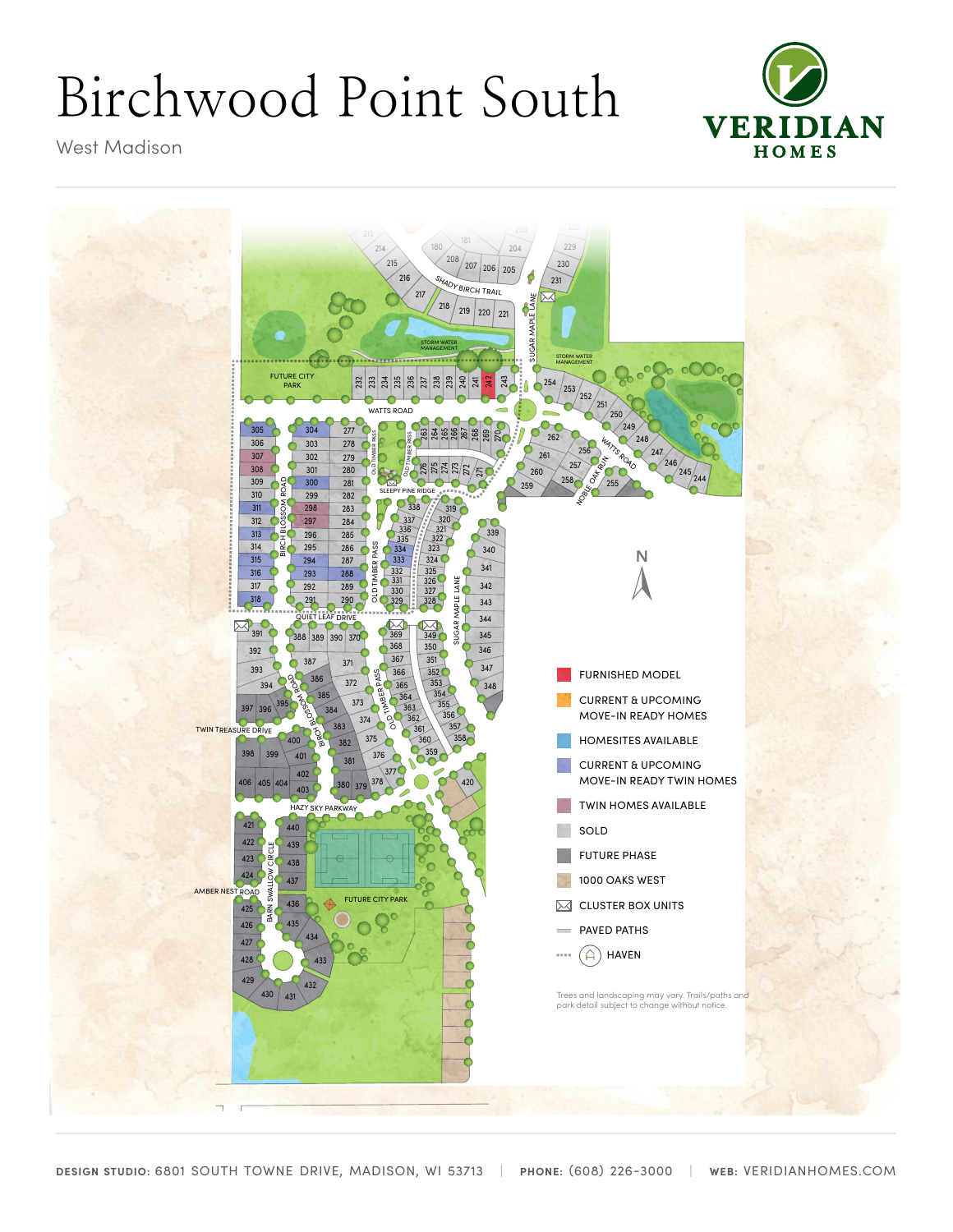## Birchwood Point South



West Madison